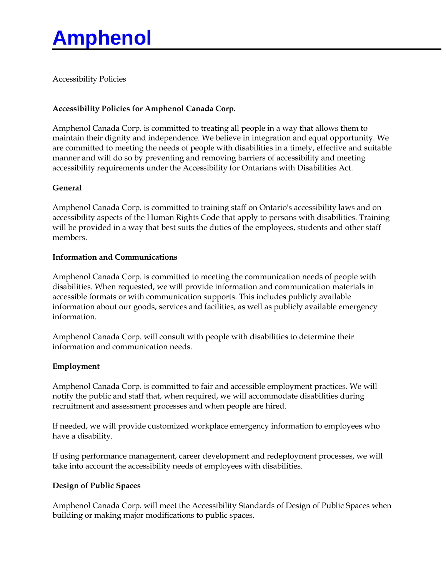# **Amphenol**

Accessibility Policies

## **Accessibility Policies for Amphenol Canada Corp.**

Amphenol Canada Corp. is committed to treating all people in a way that allows them to maintain their dignity and independence. We believe in integration and equal opportunity. We are committed to meeting the needs of people with disabilities in a timely, effective and suitable manner and will do so by preventing and removing barriers of accessibility and meeting accessibility requirements under the Accessibility for Ontarians with Disabilities Act.

### **General**

Amphenol Canada Corp. is committed to training staff on Ontario's accessibility laws and on accessibility aspects of the Human Rights Code that apply to persons with disabilities. Training will be provided in a way that best suits the duties of the employees, students and other staff members.

#### **Information and Communications**

Amphenol Canada Corp. is committed to meeting the communication needs of people with disabilities. When requested, we will provide information and communication materials in accessible formats or with communication supports. This includes publicly available information about our goods, services and facilities, as well as publicly available emergency information.

Amphenol Canada Corp. will consult with people with disabilities to determine their information and communication needs.

### **Employment**

Amphenol Canada Corp. is committed to fair and accessible employment practices. We will notify the public and staff that, when required, we will accommodate disabilities during recruitment and assessment processes and when people are hired.

If needed, we will provide customized workplace emergency information to employees who have a disability.

If using performance management, career development and redeployment processes, we will take into account the accessibility needs of employees with disabilities.

#### **Design of Public Spaces**

Amphenol Canada Corp. will meet the Accessibility Standards of Design of Public Spaces when building or making major modifications to public spaces.